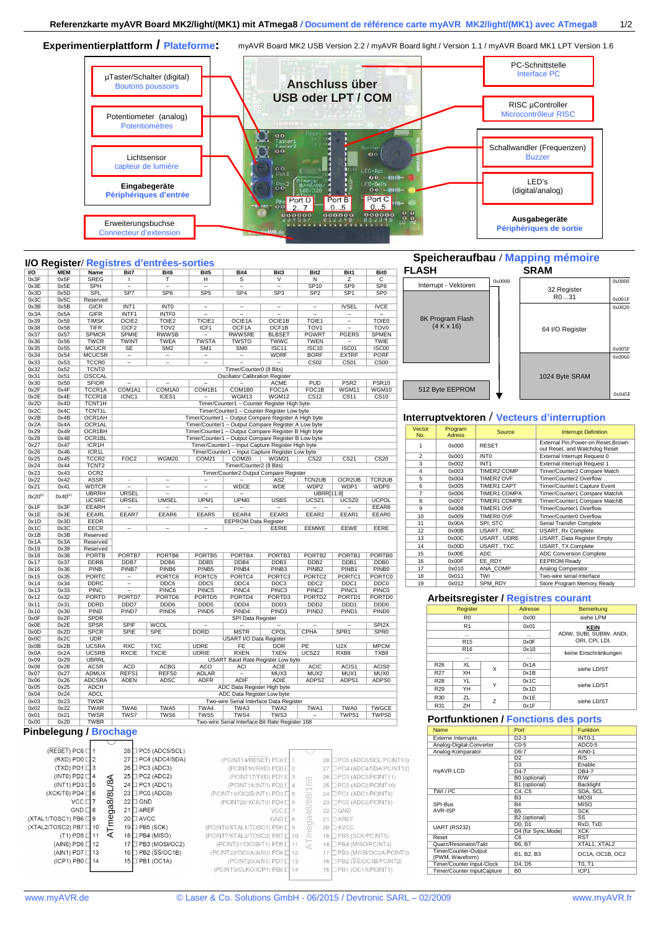Experimentierplattform / Plateforme: myAVR Board MK2 USB Version 2.2 / myAVR Board light / Version 1.1 / myAVR Board MK1 LPT Version 1.6



## **I/O Register/ Registres d'entrées-sorties**<br> **I/O MEM** Name Bit7 Bit6 Bit5<br>  $\frac{0x3F}{0x3E}$   $\frac{0x5F}{0x5E}$  SREG | T H<br>  $\frac{0x3E}{0x3E}$   $\frac{0x5E}{0x5E}$  SPH = SP7 SP6 SP5<br>  $\frac{0x3C}{0x5C}$   $\frac{0x5C}{0x5C}$  Reserved **I/O MEM Name Bit7 Bit6 Bit5 Bit4 Bit3 Bit2 Bit1 Bit0** 0x3F | 0x5F | SREG | I | T | H | S | V | N | Z | C 0x3E | 0x5E | SPH | – | – | – | – | – | – | SP10 | SP9 | SP8

0x3D 0x5D SPL<br>0x3C 0x5C Reserved<br>0x3B 0x5B GICR<br>0x3A 0x5A GIFR

0x3D | 0x5D | SPL | SP7 | SP6 | SP5 | SP4 | SP3 | SP2 | SP1 | SP0

0x3B | 0x5B | GICR | INT1 | INT0 | – | – | – | – | IVSEL | IVCE 0x3A | 0x5A | GIFR | INTF1 | INTF0 | – | – | – | – | – | – | –

## **Speicheraufbau / Mapping mémoire**



## **Interruption**

| Vector<br>No.  | Program<br><b>Adress</b> | Source              | <b>Interrupt Definition</b>                                         |  |  |  |  |  |  |
|----------------|--------------------------|---------------------|---------------------------------------------------------------------|--|--|--|--|--|--|
| 1              | 0x000                    | <b>RESET</b>        | External Pin.Power-on Reset.Brown-<br>out Reset, and Watchdog Reset |  |  |  |  |  |  |
| $\mathfrak{p}$ | 0x001                    | INT <sub>0</sub>    | External Interrupt Request 0                                        |  |  |  |  |  |  |
| 3              | 0x002                    | INT <sub>1</sub>    | <b>External Interrupt Request 1</b><br>Timer/Counter2 Compare Match |  |  |  |  |  |  |
| $\overline{4}$ | 0x003                    | <b>TIMER2 COMP</b>  |                                                                     |  |  |  |  |  |  |
| 5              | 0x004                    | <b>TIMER2 OVF</b>   | Timer/Counter2 Overflow                                             |  |  |  |  |  |  |
| 6              | 0x005                    | <b>TIMER1 CAPT</b>  | Timer/Counter1 Capture Event                                        |  |  |  |  |  |  |
| $\overline{7}$ | 0x006                    | <b>TIMER1 COMPA</b> | Timer/Counter1 Compare MatchA                                       |  |  |  |  |  |  |
| 8              | 0x007                    | <b>TIMER1 COMPB</b> | Timer/Counter1 Compare MatchB                                       |  |  |  |  |  |  |
| 9              | 0x008                    | <b>TIMER1 OVF</b>   | Timer/Counter1 Overflow                                             |  |  |  |  |  |  |
| 10             | 0x009                    | TIMER0 OVF          | Timer/Counter0 Overflow                                             |  |  |  |  |  |  |
| 11             | 0x00A                    | SPI: STC            | Serial Transfer Complete                                            |  |  |  |  |  |  |
| 12             | 0x00B                    | USART, RXC          | USART, Rx Complete                                                  |  |  |  |  |  |  |
| 13             | 0x00C                    | USART, UDRE         | USART, Data Register Empty                                          |  |  |  |  |  |  |
| 14             | 0x00D                    | USART, TXC          | USART, TX Complete                                                  |  |  |  |  |  |  |
| 15             | 0x00E                    | <b>ADC</b>          | <b>ADC Conversion Complete</b>                                      |  |  |  |  |  |  |
| 16             | 0x00F                    | EE RDY              | <b>EEPROM Ready</b>                                                 |  |  |  |  |  |  |
| 17             | 0x010                    | ANA COMP            | Analog Comperator                                                   |  |  |  |  |  |  |
| 18             | 0x011                    | <b>TWI</b>          | Two-wire serial Interface                                           |  |  |  |  |  |  |
| 19             | 0x012                    | SPM RDY             | Store Program Memory Ready                                          |  |  |  |  |  |  |

#### **istres courant**

|                 | Register        |   | Adresse | Bemerkung                |
|-----------------|-----------------|---|---------|--------------------------|
|                 | R <sub>0</sub>  |   | 0x00    | siehe LPM                |
|                 | R <sub>1</sub>  |   | 0x01    | <b>KEIN</b>              |
|                 | $\cdots$        |   |         | ADIW, SUBI, SUBIW, ANDI, |
|                 | R <sub>15</sub> |   | 0x0F    | ORI. CPI. LDI.           |
|                 | R <sub>16</sub> |   | 0x10    | keine Einschränkungen    |
|                 | $\cdots$        |   |         |                          |
| R26             | XL              | X | 0x1A    | siehe LD/ST              |
| R27             | XH              |   | 0x1B    |                          |
| <b>R28</b>      | YL              | Υ | 0x1C    | siehe LD/ST              |
| R <sub>29</sub> | YH              |   | 0x1D    |                          |
| R30             | ZL              | Z | 0x1E    | siehe LD/ST              |
| R31             | ZH              |   | 0x1F    |                          |

#### **Portfunktionen / Fonctions des ports**

| <b>Name</b>                             | Port                            | <b>Funktion</b> |  |  |
|-----------------------------------------|---------------------------------|-----------------|--|--|
| <b>Externe Interrupts</b>               | $D2-3$                          | <b>INT0-1</b>   |  |  |
| Analog-Digital-Converter                | $CO-5$                          | ADC0-5          |  |  |
| Analog-Komparator                       | D6-7                            | AINO-1          |  |  |
|                                         | D <sub>2</sub>                  | R/S             |  |  |
|                                         | D <sub>3</sub>                  | Enable          |  |  |
| myAVR LCD                               | $D4-7$                          | <b>DB4-7</b>    |  |  |
|                                         | B0 (optional)                   | R/W             |  |  |
|                                         | B1 (optional)                   | Backlight       |  |  |
| TWI / <sup>12</sup> C                   | C4. C5                          | SDA, SCL        |  |  |
|                                         | B <sub>3</sub>                  | <b>MOSI</b>     |  |  |
| SPI-Bus                                 | <b>B4</b>                       | <b>MISO</b>     |  |  |
| AVR-ISP                                 | <b>B5</b>                       | <b>SCK</b>      |  |  |
|                                         | B2 (optional)                   | SS              |  |  |
| <b>UART (RS232)</b>                     | D <sub>0</sub> . D <sub>1</sub> | RxD. TxD        |  |  |
|                                         | D4 (für Sync.Mode)              | <b>XCK</b>      |  |  |
| Reset                                   | C <sub>6</sub>                  | <b>RST</b>      |  |  |
| Quarz/Resonator/Takt                    | B6. B7                          | XTAL1, XTAL2    |  |  |
| Timer/Counter-Output<br>(PWM, Waveform) | B1. B2. B3                      | OC1A, OC1B, OC2 |  |  |
| Timer/Counter Input-Clock               | D4. D5                          | T0. T1          |  |  |
| Timer/Counter InputCapture              | B <sub>0</sub>                  | ICP1            |  |  |

| 0x39         | 0x59         | <b>TIMSK</b>               | OCIE2                                                                   | TOIE <sub>2</sub>        | TICIE1                    | OCIE1A                                               | OCIE1B                                | TOIE1                                 | $\overline{a}$           | <b>TOIE0</b>                          |                            | on Program Flash      |                     |                           |  |  |  |
|--------------|--------------|----------------------------|-------------------------------------------------------------------------|--------------------------|---------------------------|------------------------------------------------------|---------------------------------------|---------------------------------------|--------------------------|---------------------------------------|----------------------------|-----------------------|---------------------|---------------------------|--|--|--|
| 0x38         | 0x58         | <b>TIFR</b>                | OCF <sub>2</sub>                                                        | TOV <sub>2</sub>         | ICF1                      | OCF1A                                                | OCF1B                                 | TOV <sub>1</sub>                      |                          | <b>TOVO</b>                           | (4 K x 16)                 |                       |                     |                           |  |  |  |
| 0x37         | 0x57         | <b>SPMCR</b>               | <b>SPMIE</b>                                                            | <b>RWWSB</b>             | $\overline{\phantom{0}}$  | <b>RWWSRE</b>                                        | <b>BLBSET</b>                         | PGWRT                                 | <b>PGERS</b>             | <b>SPMEN</b>                          |                            |                       |                     |                           |  |  |  |
| 0x36         | 0x56         | <b>TWCR</b>                | <b>TWINT</b>                                                            | <b>TWEA</b>              | <b>TWSTA</b>              | <b>TWSTO</b>                                         | <b>TWWC</b>                           | <b>TWEN</b>                           | $\overline{\phantom{a}}$ | TWIE                                  |                            |                       |                     |                           |  |  |  |
| 0x35         | 0x55         | <b>MCUCR</b>               | <b>SE</b>                                                               | SM <sub>2</sub>          | SM <sub>1</sub>           | <b>SMO</b>                                           | ISC <sub>11</sub>                     | <b>ISC10</b>                          | ISC01                    | <b>ISC00</b>                          |                            |                       |                     |                           |  |  |  |
| 0x34         | 0x54         | <b>MCUCSR</b>              | $\overline{\phantom{a}}$                                                | $\qquad \qquad -$        | $\qquad \qquad -$         |                                                      | <b>WDRF</b>                           | <b>BORF</b>                           | <b>EXTRF</b>             | <b>PORF</b>                           |                            |                       |                     |                           |  |  |  |
| 0x33         | 0x53         | TCCR <sub>0</sub>          | $\overline{\phantom{a}}$                                                | $\overline{\phantom{0}}$ | $\overline{\phantom{0}}$  |                                                      | $\overline{a}$                        | CS <sub>02</sub>                      | CS <sub>01</sub>         | CS <sub>00</sub>                      |                            |                       |                     |                           |  |  |  |
| 0x32         | 0x52         | <b>TCNT0</b>               |                                                                         |                          |                           | Timer/Counter0 (8 Bits)                              |                                       |                                       |                          |                                       |                            |                       |                     |                           |  |  |  |
| 0x31         | 0x51         | <b>OSCCAL</b>              |                                                                         |                          |                           | <b>Oscillator Calibration Register</b>               |                                       |                                       |                          |                                       |                            |                       |                     |                           |  |  |  |
| 0x30         | 0x50         | <b>SFIOR</b>               |                                                                         |                          | $\overline{a}$            |                                                      | <b>ACME</b>                           | PUD                                   | PSR <sub>2</sub>         | PSR <sub>10</sub>                     |                            |                       |                     |                           |  |  |  |
| 0x2F         | 0x4F         | TCCR1A                     | COM1A1                                                                  | COM1A0                   | COM1B1                    | COM1B0                                               | FOC <sub>1</sub> A                    | FOC <sub>1</sub> B                    | WGM11                    | WGM10                                 |                            | 512 Byte EEPROM       |                     |                           |  |  |  |
| 0x2E         | 0x4E         | TCCR1B                     | ICNC1                                                                   | ICES1                    |                           | WGM13                                                | WGM12                                 | CS <sub>12</sub>                      | CS <sub>11</sub>         | CS10                                  |                            |                       |                     |                           |  |  |  |
| 0x2D         | 0x4D         | TCNT1H                     |                                                                         |                          |                           | Timer/Counter1 - Counter Register High byte          |                                       |                                       |                          |                                       |                            |                       |                     |                           |  |  |  |
| 0x2C         | 0x4C         | <b>TCNT1L</b>              |                                                                         |                          |                           | Timer/Counter1 - Counter Register Low byte           |                                       |                                       |                          |                                       |                            |                       |                     |                           |  |  |  |
| 0x2B         | 0x4B         | OCR1AH                     |                                                                         |                          |                           | Timer/Counter1 - Output Compare Register A High byte |                                       |                                       |                          |                                       |                            |                       |                     |                           |  |  |  |
| 0x2A         | 0x4A         | OCR1AL                     |                                                                         |                          |                           | Timer/Counter1 - Output Compare Register A Low byte  |                                       |                                       |                          |                                       | Interruptvektoren / Vecteu |                       |                     |                           |  |  |  |
| 0x29         | 0x49         | OCR1BH                     |                                                                         |                          |                           | Timer/Counter1 - Output Compare Register B High byte |                                       |                                       |                          |                                       | Vector                     | Program               | Source              |                           |  |  |  |
| 0x28         | 0x48         | OCR1BL                     |                                                                         |                          |                           | Timer/Counter1 - Output Compare Register B Low byte  |                                       |                                       |                          |                                       | No.                        | <b>Adress</b>         |                     |                           |  |  |  |
| 0x27         | 0x47         | ICR1H                      |                                                                         |                          |                           | Timer/Counter1 - Input Capture Register High byte    |                                       |                                       |                          |                                       | $\mathbf{1}$               | 0x000                 | <b>RESET</b>        |                           |  |  |  |
| 0x26         | 0x46         | ICR <sub>1</sub> L         |                                                                         |                          |                           | Timer/Counter1 - Input Capture Register Low byte     |                                       |                                       |                          |                                       |                            |                       |                     |                           |  |  |  |
| 0x25         | 0x45         | TCCR <sub>2</sub>          | FOC2                                                                    | WGM20                    | COM <sub>21</sub>         | COM <sub>20</sub>                                    | WGM21                                 | <b>CS22</b>                           | $\overline{\text{CS21}}$ | CS <sub>20</sub>                      | $\overline{2}$             | 0x001                 | <b>INTO</b>         |                           |  |  |  |
| 0x24         | 0x44         | TCNT <sub>2</sub>          |                                                                         |                          |                           | Timer/Counter2 (8 Bits)                              |                                       |                                       |                          |                                       | 3                          | 0x002                 | INT <sub>1</sub>    |                           |  |  |  |
| 0x23         | 0x43         | OCR <sub>2</sub>           |                                                                         |                          |                           | Timer/Counter2 Output Compare Register               |                                       |                                       |                          |                                       | $\sqrt{4}$                 | 0x003                 | TIMER2 COMP         |                           |  |  |  |
| 0x22         | 0x42         | <b>ASSR</b>                | $\overline{\phantom{a}}$                                                | $\overline{\phantom{0}}$ | $\overline{\phantom{a}}$  |                                                      | AS <sub>2</sub>                       | <b>TCN2UB</b>                         | OCR2UB                   | <b>TCR2UB</b>                         | 5                          | 0x004                 | TIMER2 OVF          |                           |  |  |  |
| 0x21         | 0x41         | <b>WDTCR</b>               |                                                                         | $\qquad \qquad -$        | $\qquad \qquad -$         | <b>WDCE</b>                                          | <b>WDE</b>                            | WDP <sub>2</sub>                      | WDP1                     | WDP0                                  | 6                          | 0x005                 | TIMER1 CAPT         |                           |  |  |  |
|              |              | <b>UBRRH</b>               | <b>URSEL</b>                                                            | $\overline{\phantom{0}}$ | $\overline{a}$            | $\overline{a}$                                       |                                       | <b>UBRR[11:8]</b>                     |                          |                                       | $\overline{7}$             | 0x006                 | TIMER1 COMPA        |                           |  |  |  |
| $0x20^{(1)}$ | $0x40^{(1)}$ | <b>UCSRC</b>               | <b>URSEL</b>                                                            | <b>UMSEL</b>             | UPM <sub>1</sub>          | <b>UPM0</b>                                          | <b>USBS</b>                           | UCSZ1                                 | UCSZ0                    | <b>UCPOL</b>                          | 8                          | 0x007                 | <b>TIMER1 COMPB</b> |                           |  |  |  |
| 0x1F         | 0x3F         | <b>EEARH</b>               | $\qquad \qquad -$                                                       | $\overline{a}$           | $\overline{a}$            |                                                      |                                       |                                       |                          | EEAR8                                 |                            |                       |                     |                           |  |  |  |
| 0x1E         | 0x3E         | EEARL                      | EEAR7                                                                   | EEAR6                    | EEAR5                     | EEAR4                                                | EEAR3                                 | EEAR2                                 | EEAR1                    | EEAR0                                 | 9                          | 0x008<br>TIMER1 OVF   |                     |                           |  |  |  |
| 0x1D         | 0x3D         | EEDR                       |                                                                         |                          |                           | <b>EEPROM Data Register</b>                          |                                       |                                       |                          |                                       | 10                         | 0x009                 | TIMER0 OVF          |                           |  |  |  |
| 0x1C         | 0x3C         | <b>EECR</b>                | $\overline{\phantom{a}}$                                                | $\overline{a}$           | $\overline{\phantom{a}}$  | $\overline{\phantom{a}}$                             | EERIE                                 | <b>EEMWE</b>                          | <b>EEWE</b>              | EERE                                  | 11                         | 0x00A                 | SPI; STC            |                           |  |  |  |
| 0x1B         | 0x3B         | Reserved                   |                                                                         |                          |                           |                                                      |                                       |                                       |                          |                                       | 12                         | USART, RXC<br>0x00B   |                     |                           |  |  |  |
| 0x1A         | 0x3A         | Reserved                   |                                                                         |                          |                           |                                                      |                                       |                                       |                          |                                       | 13                         | 0x00C                 | USART, UDRE         |                           |  |  |  |
| 0x19         | 0x39         | Reserved                   |                                                                         |                          |                           |                                                      |                                       |                                       |                          |                                       | 14                         | 0x00D                 | USART, TXC          |                           |  |  |  |
| 0x18         | 0x38         | <b>PORTB</b>               | PORTB7                                                                  | PORTB6                   | PORTB5                    | PORTB4                                               | PORTB <sub>3</sub>                    | PORTB <sub>2</sub>                    | PORTB1                   | PORTB0                                | 15                         | 0x00E                 | ADC                 |                           |  |  |  |
| 0x17         | 0x37         | <b>DDRB</b>                | DDB7                                                                    | DDB6                     | DDB <sub>5</sub>          | DDB4                                                 | DDB3                                  | DDB <sub>2</sub>                      | DDB1                     | DDB <sub>0</sub>                      | 16                         | 0x00F                 | EE RDY              |                           |  |  |  |
|              |              | PINB                       |                                                                         | PINB <sub>6</sub>        |                           | PINB4                                                | PINB <sub>3</sub>                     | PINB <sub>2</sub>                     | PINB1                    | PINB <sub>0</sub>                     | 17                         | 0x010                 | ANA COMP            |                           |  |  |  |
| 0x16         | 0x36         |                            | PINB7                                                                   |                          | PINB <sub>5</sub>         |                                                      |                                       |                                       |                          |                                       | 18                         | 0x011                 | TWI                 |                           |  |  |  |
| 0x15         | 0x35         | <b>PORTC</b>               | $\overline{\phantom{a}}$                                                | PORTC6                   | PORTC5                    | PORTC4                                               | PORTC <sub>3</sub>                    | PORTC <sub>2</sub>                    | PORTC1                   | <b>PORTCO</b>                         | 19                         | 0x012                 | SPM RDY             |                           |  |  |  |
| 0x14         | 0x34         | <b>DDRC</b><br><b>PINC</b> | $\overline{\phantom{a}}$                                                | DDC6<br>PINC6            | DDC5<br>PINC <sub>5</sub> | DDC4<br>PINC4                                        | DDC <sub>3</sub><br>PINC <sub>3</sub> | DDC <sub>2</sub><br>PINC <sub>2</sub> | DDC1<br>PINC1            | DDC <sub>0</sub><br>PINC <sub>0</sub> |                            |                       |                     |                           |  |  |  |
| 0x13         | 0x33         |                            | $\overline{\phantom{0}}$                                                |                          |                           |                                                      |                                       |                                       |                          |                                       |                            |                       |                     |                           |  |  |  |
| 0x12         | 0x32         | <b>PORTD</b>               | PORTD7<br>DDD7                                                          | PORTD6                   | PORTD5                    | PORTD4<br>DDD <sub>4</sub>                           | PORTD3                                | PORTD <sub>2</sub>                    | PORTD1                   | PORTD0<br>DDD <sub>0</sub>            |                            | Arbeitsregister / Reg |                     |                           |  |  |  |
| 0x11         | 0x31         | <b>DDRD</b>                |                                                                         | DDD <sub>6</sub>         | DDD <sub>5</sub>          |                                                      | DDD <sub>3</sub>                      | DDD <sub>2</sub>                      | DDD1                     |                                       |                            | Register              |                     | Ad                        |  |  |  |
| 0x10         | 0x30         | PIND                       | PIND7                                                                   | PIND <sub>6</sub>        | PIND <sub>5</sub>         | PIND <sub>4</sub>                                    | PIND <sub>3</sub>                     | PIND <sub>2</sub>                     | PIND <sub>1</sub>        | PIND <sub>0</sub>                     |                            | R <sub>0</sub>        |                     | $\epsilon$                |  |  |  |
| 0x0F         | 0x2F         | <b>SPDR</b>                |                                                                         |                          |                           | SPI Data Register                                    |                                       |                                       |                          |                                       |                            |                       |                     |                           |  |  |  |
| 0x0E         | 0x2E         | <b>SPSR</b>                | <b>SPIF</b>                                                             | <b>WCOL</b>              | $\overline{\phantom{0}}$  | $\overline{\phantom{a}}$                             | $\overline{a}$                        | $\overline{\phantom{0}}$              | $\overline{\phantom{0}}$ | SPI <sub>2X</sub>                     |                            | R1                    |                     | $\epsilon$                |  |  |  |
| 0x0D         | 0x2D         | <b>SPCR</b>                | SPIE                                                                    | <b>SPE</b>               | <b>DORD</b>               | <b>MSTR</b>                                          | CPOL                                  | CPHA                                  | SPR <sub>1</sub>         | SPR <sub>0</sub>                      |                            | $\cdots$              |                     |                           |  |  |  |
| 0x0C         | 0x2C         | <b>UDR</b>                 |                                                                         |                          |                           | USART I/O Data Register                              |                                       |                                       |                          |                                       |                            | <b>R15</b>            |                     | $\mathsf{C}$              |  |  |  |
| 0x0B         | 0x2B         | <b>UCSRA</b>               | <b>RXC</b>                                                              | <b>TXC</b>               | <b>UDRE</b>               | <b>FE</b>                                            | <b>DOR</b>                            | PE                                    | U2X                      | <b>MPCM</b>                           |                            | R <sub>16</sub>       |                     | $\overline{\mathfrak{c}}$ |  |  |  |
| 0x0A         | 0x2A         | <b>UCSRB</b>               | <b>RXCIE</b>                                                            | <b>TXCIE</b>             | <b>UDRIE</b>              | <b>RXEN</b>                                          | <b>TXEN</b>                           | UCSZ2                                 | RXB8                     | TXB8                                  |                            | $\cdots$              |                     |                           |  |  |  |
| 0x09         | 0x29         | <b>UBRRL</b>               |                                                                         |                          |                           | USART Baud Rate Register Low byte                    |                                       |                                       |                          |                                       |                            | R <sub>26</sub><br>XL |                     | $\mathbf 0$               |  |  |  |
| 0x08         | 0x28         | <b>ACSR</b>                | <b>ACD</b>                                                              | <b>ACBG</b>              | <b>ACO</b>                | <b>ACI</b>                                           | <b>ACIE</b>                           | <b>ACIC</b>                           | ACIS1                    | ACIS0                                 |                            |                       | X                   |                           |  |  |  |
| 0x07         | 0x27         | <b>ADMUX</b>               | REFS1                                                                   | REFS0                    | <b>ADLAR</b>              | $\overline{\phantom{a}}$                             | MUX3                                  | MUX2                                  | MUX1                     | <b>MUX0</b>                           |                            | XH<br>R27             |                     | $\mathfrak{c}$            |  |  |  |
| 0x06         | 0x26         | <b>ADCSRA</b>              | <b>ADEN</b>                                                             | <b>ADSC</b>              | <b>ADFR</b>               | <b>ADIF</b>                                          | ADIE                                  | ADPS2                                 | ADPS1                    | ADPS0                                 |                            | <b>YL</b><br>R28      | Υ                   | $\overline{0}$            |  |  |  |
| 0x05         | 0x25         | <b>ADCH</b>                |                                                                         |                          |                           | ADC Data Register High byte                          |                                       |                                       |                          |                                       |                            | R <sub>29</sub><br>YH |                     | $\overline{0}$            |  |  |  |
| 0x04         | 0x24         | <b>ADCL</b>                | ADC Data Register Low byte<br>R30<br>ZL                                 |                          |                           |                                                      |                                       |                                       |                          |                                       |                            |                       | $\mathbf 0$         |                           |  |  |  |
| 0x03         | 0x23         | <b>TWDR</b>                |                                                                         |                          |                           | Two-wire Serial Interface Data Register              |                                       |                                       |                          |                                       |                            | ZH                    | Z                   | $\mathcal{C}$             |  |  |  |
| 0x02         | 0x22         | <b>TWAR</b>                | TWA6                                                                    | TWA5                     | TWA4                      | TWA3                                                 | TWA2                                  | TWA1                                  | TWA0                     | <b>TWGCE</b>                          |                            | R31                   |                     |                           |  |  |  |
| 0x01         | 0x21         | <b>TWSR</b>                | TWS7                                                                    | TWS6                     | TWS5                      | TWS4                                                 | TWS3                                  | $\overline{\phantom{0}}$              | TWPS1                    | TWPS0                                 |                            |                       |                     |                           |  |  |  |
| 0x00         | 0x20         | <b>TWBR</b>                | Portfunktionen / Fon<br>Two-wire Serial Interface Bit Rate Register 168 |                          |                           |                                                      |                                       |                                       |                          |                                       |                            |                       |                     |                           |  |  |  |

### **Pinbelegung / Brochage**

|                | 28            |
|----------------|---------------|
| $\overline{2}$ | 27            |
| 3              | 26            |
| 4              | 25            |
| 5              | 24            |
| 6              | 23            |
| 7              | 22            |
| 8              | 21            |
| 9              | 20            |
| 10             | 19            |
| 11             | 18            |
| 12             | 17            |
| 13             | 16            |
| 14             | 15            |
|                | ATmega8/8L/8A |



 $\exists$  GND

AREF

AVCC

 $(PCINT14/REFST) PC6$  $28$ **TRC5 (ADC5/SCL/PCINT13)**  $(PCINT16/RXD)$  PD0  $\Box$  2 TPC4 (ADC4/SDA/PCINT12) 27  $(PCINT17/TXD)$  PD1 PC3 (ADC3/PCINT11) 26 ATmega48/88/168 mega48/88/168 (PCINT18/INT0) PD2  $\overline{4}$  $25$ PC2 (ADC2/PCINT10) (PCINT19/OC2B/INT1) PD3 □ 5 24 PC1 (ADC1/PCINT9)  $\Box$  PC0 (ADC0/PCINT8) (PCINT20/XCK/T0) PD4 0 23 VCC 22  $\overline{\square}$  GND **GND**  $21$ AREF H AVCC  $\overline{9}$  $20$  $10$  $19$ PB5 (SCK/PCINT5)  $\bar{1}1$ 늫 PB4 (MISO/PCINT4) 18 (PCINT22/OC0A/AIN0) PD6 <sup>12</sup>  $17$ PB3 (MOSI/OC2A/PCINT3) (PCINT23/AIN1) PD7  $\overline{\phantom{a}}$  PB2 (SS/OC1B/PCINT2) 13 16  $\frac{1}{4}$  $15$ PB1 (OC1A/PCINT1)